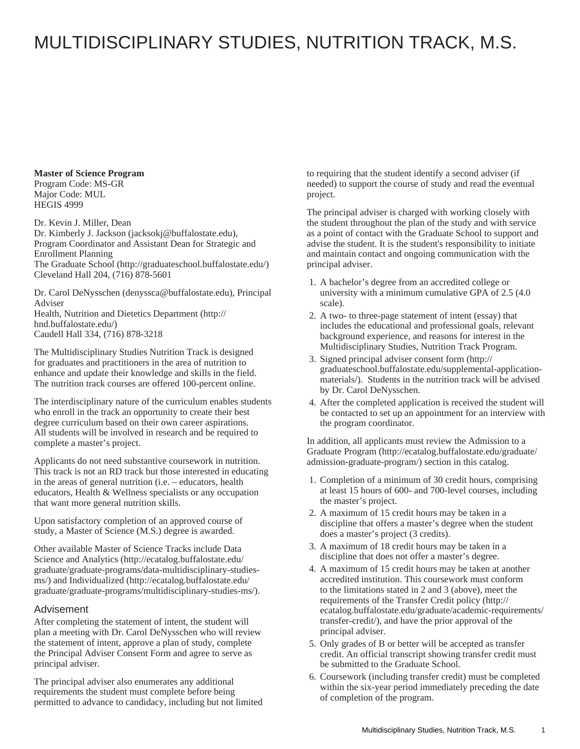## MULTIDISCIPLINARY STUDIES, NUTRITION TRACK, M.S.

**Master of Science Program**

Program Code: MS-GR Major Code: MUL HEGIS 4999

Dr. Kevin J. Miller, Dean [Dr. Kimberly J. Jackson](mailto:jacksokj@buffalostate.edu) (<jacksokj@buffalostate.edu>), Program Coordinator and Assistant Dean for Strategic and Enrollment Planning [The Graduate School](http://graduateschool.buffalostate.edu/) ([http://graduateschool.buffalostate.edu/\)](http://graduateschool.buffalostate.edu/) Cleveland Hall 204, (716) 878-5601

[Dr. Carol DeNysschen](mailto:denyssca@buffalostate.edu) (<denyssca@buffalostate.edu>), Principal Adviser [Health, Nutrition and Dietetics Department](http://hnd.buffalostate.edu/) ([http://](http://hnd.buffalostate.edu/) [hnd.buffalostate.edu/](http://hnd.buffalostate.edu/))

Caudell Hall 334, (716) 878-3218

The Multidisciplinary Studies Nutrition Track is designed for graduates and practitioners in the area of nutrition to enhance and update their knowledge and skills in the field. The nutrition track courses are offered 100-percent online.

The interdisciplinary nature of the curriculum enables students who enroll in the track an opportunity to create their best degree curriculum based on their own career aspirations. All students will be involved in research and be required to complete a master's project.

Applicants do not need substantive coursework in nutrition. This track is not an RD track but those interested in educating in the areas of general nutrition (i.e. – educators, health educators, Health & Wellness specialists or any occupation that want more general nutrition skills.

Upon satisfactory completion of an approved course of study, a Master of Science (M.S.) degree is awarded.

Other available Master of Science Tracks include [Data](http://ecatalog.buffalostate.edu/graduate/graduate-programs/data-multidisciplinary-studies-ms/) [Science and Analytics](http://ecatalog.buffalostate.edu/graduate/graduate-programs/data-multidisciplinary-studies-ms/) ([http://ecatalog.buffalostate.edu/](http://ecatalog.buffalostate.edu/graduate/graduate-programs/data-multidisciplinary-studies-ms/) [graduate/graduate-programs/data-multidisciplinary-studies](http://ecatalog.buffalostate.edu/graduate/graduate-programs/data-multidisciplinary-studies-ms/)[ms/](http://ecatalog.buffalostate.edu/graduate/graduate-programs/data-multidisciplinary-studies-ms/)) and [Individualized](http://ecatalog.buffalostate.edu/graduate/graduate-programs/multidisciplinary-studies-ms/) ([http://ecatalog.buffalostate.edu/](http://ecatalog.buffalostate.edu/graduate/graduate-programs/multidisciplinary-studies-ms/) [graduate/graduate-programs/multidisciplinary-studies-ms/\)](http://ecatalog.buffalostate.edu/graduate/graduate-programs/multidisciplinary-studies-ms/).

## Advisement

After completing the statement of intent, the student will plan a meeting with Dr. Carol DeNysschen who will review the statement of intent, approve a plan of study, complete the Principal Adviser Consent Form and agree to serve as principal adviser.

The principal adviser also enumerates any additional requirements the student must complete before being permitted to advance to candidacy, including but not limited to requiring that the student identify a second adviser (if needed) to support the course of study and read the eventual project.

The principal adviser is charged with working closely with the student throughout the plan of the study and with service as a point of contact with the Graduate School to support and advise the student. It is the student's responsibility to initiate and maintain contact and ongoing communication with the principal adviser.

- 1. A bachelor's degree from an accredited college or university with a minimum cumulative GPA of 2.5 (4.0 scale).
- 2. A two- to three-page statement of intent (essay) that includes the educational and professional goals, relevant background experience, and reasons for interest in the Multidisciplinary Studies, Nutrition Track Program.
- 3. Signed [principal adviser consent form](http://graduateschool.buffalostate.edu/supplemental-application-materials/) [\(http://](http://graduateschool.buffalostate.edu/supplemental-application-materials/) [graduateschool.buffalostate.edu/supplemental-application](http://graduateschool.buffalostate.edu/supplemental-application-materials/)[materials/](http://graduateschool.buffalostate.edu/supplemental-application-materials/)). Students in the nutrition track will be advised by Dr. Carol DeNysschen.
- 4. After the completed application is received the student will be contacted to set up an appointment for an interview with the program coordinator.

In addition, all applicants must review the [Admission to a](http://ecatalog.buffalostate.edu/graduate/admission-graduate-program/) [Graduate Program \(http://ecatalog.buffalostate.edu/graduate/](http://ecatalog.buffalostate.edu/graduate/admission-graduate-program/) [admission-graduate-program/](http://ecatalog.buffalostate.edu/graduate/admission-graduate-program/)) section in this catalog.

- 1. Completion of a minimum of 30 credit hours, comprising at least 15 hours of 600- and 700-level courses, including the master's project.
- 2. A maximum of 15 credit hours may be taken in a discipline that offers a master's degree when the student does a master's project (3 credits).
- 3. A maximum of 18 credit hours may be taken in a discipline that does not offer a master's degree.
- 4. A maximum of 15 credit hours may be taken at another accredited institution. This coursework must conform to the limitations stated in 2 and 3 (above), meet the requirements of the [Transfer Credit policy](http://ecatalog.buffalostate.edu/graduate/academic-requirements/transfer-credit/) ([http://](http://ecatalog.buffalostate.edu/graduate/academic-requirements/transfer-credit/) [ecatalog.buffalostate.edu/graduate/academic-requirements/](http://ecatalog.buffalostate.edu/graduate/academic-requirements/transfer-credit/) [transfer-credit/](http://ecatalog.buffalostate.edu/graduate/academic-requirements/transfer-credit/)), and have the prior approval of the principal adviser.
- 5. Only grades of B or better will be accepted as transfer credit. An official transcript showing transfer credit must be submitted to the Graduate School.
- 6. Coursework (including transfer credit) must be completed within the six-year period immediately preceding the date of completion of the program.